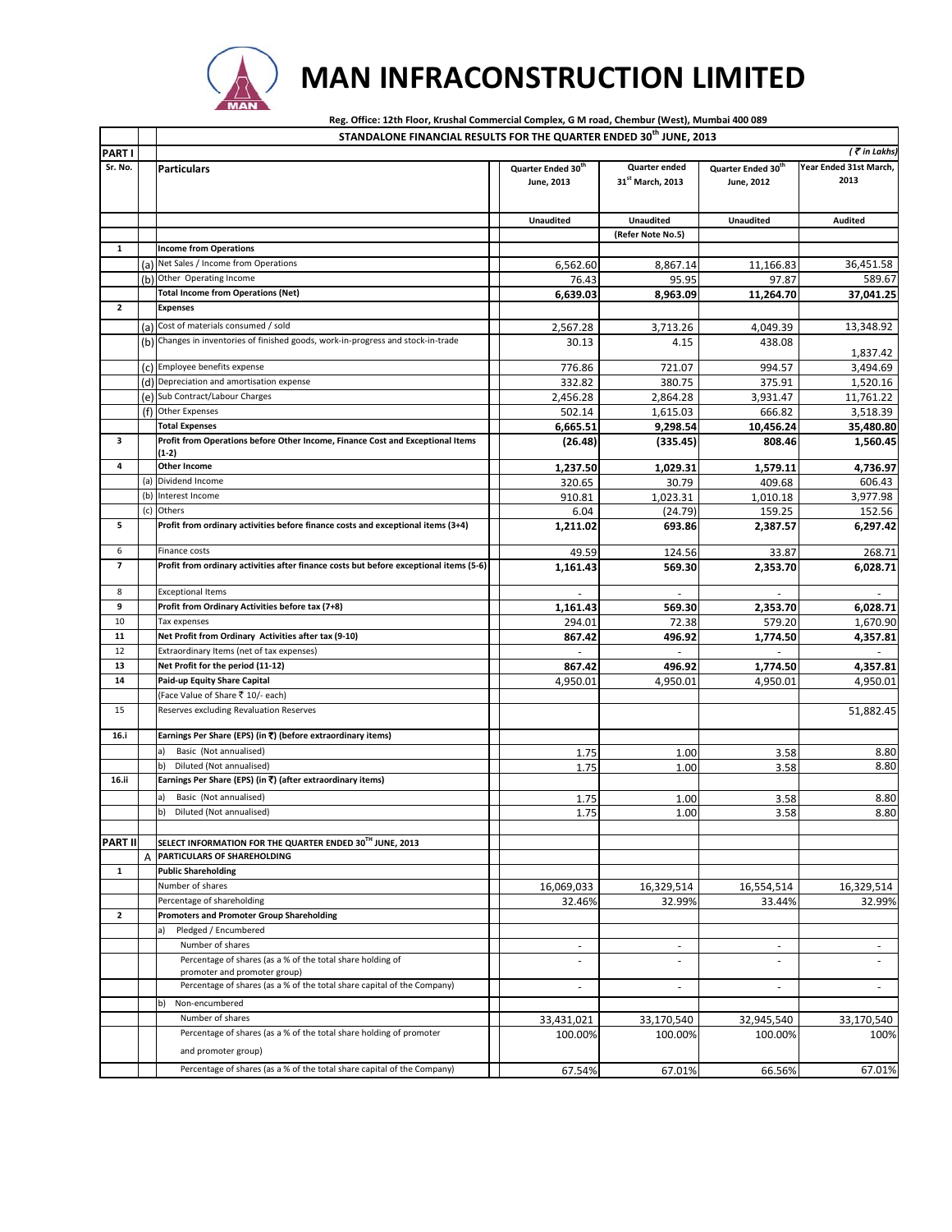

promoter and promoter group)

Percentage of shares (as a % of the total share holding of promoter

b) Non-encumbered

and promoter group)

**PART I**

## **MAN INFRACONSTRUCTION LIMITED**

**Sr. No. Particulars Quarter Ended 30th June, 2013 Quarter ended 31st March, 2013 Quarter Ended 30th June, 2012 Year Ended 31st March, 2013 Unaudited Unaudited Unaudited Audited (Refer Note No.5) 1 Income from Operations** (a) Net Sales / Income from Operations 6,562.60 8,867.14 11,166.83 36,451.58 (b) Other Operating Income 689.67 589.67 589.67 97.87 589.67 97.87 589.67 589.67 **Total Income from Operations (Net) 6,639.03 8,963.09 11,264.70 37,041.25 2 Expenses** (a) Cost of materials consumed / sold<br>
(b) Changes in inventories of finished goods, work-in-progress and stock-in-trade<br>
(b) Changes in inventories of finished goods, work-in-progress and stock-in-trade<br>
2.567.28 3.713.26 (b) Changes in inventories of finished goods, work‐in‐progress and stock‐in‐trade 30.13 4.15 438.08 1,837.42 (c) Employee benefits expense 3,494.69<br>
(d) Depreciation and amortisation expense 332.82 380.75 375.91 1,520.16  $(d)$  Depreciation and amortisation expense (e) Sub Contract/Labour Charges 2,456.28 2,864.28 3,931.47 11,761.22 (f) Other Expenses 502.14 1,615.03 666.82 3,518.39 **Total Expenses 6,665.51 9,298.54 10,456.24 35,480.80 3 Profit from Operations before Other Income, Finance Cost and Exceptional Items (1‐2) (26.48) (335.45) 808.46 1,560.45** 4 Other Income **1,029.31** 1,579.11 4,736.97 (a) Dividend Income 320.65 30.79 409.68 606.43 (b) Interest Income 910.81 1,023.31 1,010.18 3,977.98 (c) Others 6.04 (24.79) 159.25 152.56 **5 Profit from ordinary activities before finance costs and exceptional items (3+4) 1,211.02 693.86 2,387.57 6,297.42** 6 Finance costs 49.59 124.56 33.87 268.71 7 Profit from ordinary activities after finance costs but before exceptional items (5-6) 1 1,161.43 569.30 569.30 2,353.70 6,028.71 8 Exceptional Items ‐ ‐ ‐ ‐ **9 Profit from Ordinary Activities before tax (7+8) 1,161.43 569.30 2,353.70 6,028.71** 10 Tax expenses 294.01 72.38 579.20 1,670.90 **11 Net Profit from Ordinary Activities after tax (9‐10) 867.42 496.92 1,774.50 4,357.81** 12 Extraordinary Items (net of tax expenses)<br>13 Net Profit for the period (11-12) **13 Net Profit for the period (11‐12) 867.42 496.92 1,774.50 4,357.81 14 Paid‐up Equity Share Capital** 4,950.01 4,950.01 4,950.01 4,950.01 (Face Value of Share ₹ 10/- each) 15 Reserves excluding Revaluation Reserves 61,882.45 **16.i Earnings Per Share (EPS) (in** `**) (before extraordinary items)** a) Basic (Not annualised) 1.75 1.00 3.58 8.80<br>
b) Diluted (Not annualised) 1.75 1.00 3.58 8.80 b) Diluted (Not annualised) 1.75 1.00 3.58 8.80 **16.ii Earnings Per Share (EPS) (in** `**) (after extraordinary items)** a) Basic (Not annualised) 1.75 1.75 1.00 3.58 3.80 b) Diluted (Not annualised) 8.80 **PART II SELECT INFORMATION FOR THE QUARTER ENDED 30TH JUNE, 2013** A **PARTICULARS OF SHAREHOLDING 1 Public Shareholding** Number of shares 16,069,033 16,329,514 16,554,514 16,329,514 Percentage of shareholding and the state of state of shareholding 32.99% 33.44% 32.99% 33.44% 32.99% **2 Promoters and Promoter Group Shareholding** a) Pledged / Encumbered Number of shares ‐ ‐ ‐ ‐ Percentage of shares (as a % of the total share holding of ‐ ‐ ‐ ‐ **STANDALONE FINANCIAL RESULTS FOR THE QUARTER ENDED 30th JUNE, 2013** Reg. Office: 12th Floor, Krushal Commercial Complex, G M road, Chembur (West), Mumbai 400 089 *(* ` *in Lakhs)*

Percentage of shares (as a % of the total share capital of the Company) ‐ ‐ ‐ ‐

Number of shares 33,431,021 33,170,540 32,945,540 33,170,540

Percentage of shares (as a % of the total share capital of the Company) 67.54% 67.01% 66.56% 67.01% 67.01% 67.01%

100.00% 100.00% 100.000% 100.00% 100%